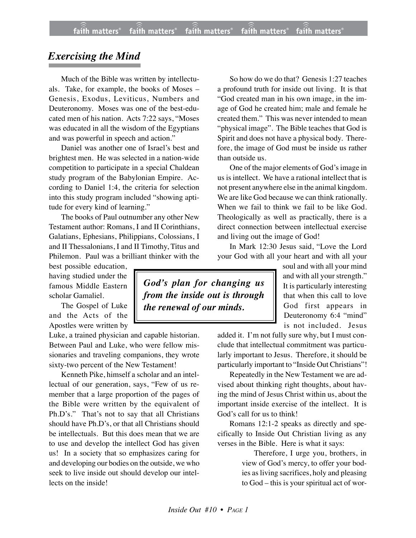## *Exercising the Mind*

Much of the Bible was written by intellectuals. Take, for example, the books of Moses – Genesis, Exodus, Leviticus, Numbers and Deuteronomy. Moses was one of the best-educated men of his nation. Acts 7:22 says, "Moses was educated in all the wisdom of the Egyptians and was powerful in speech and action."

Daniel was another one of Israel's best and brightest men. He was selected in a nation-wide competition to participate in a special Chaldean study program of the Babylonian Empire. According to Daniel 1:4, the criteria for selection into this study program included "showing aptitude for every kind of learning."

The books of Paul outnumber any other New Testament author: Romans, I and II Corinthians, Galatians, Ephesians, Philippians, Colossians, I and II Thessalonians, I and II Timothy, Titus and Philemon. Paul was a brilliant thinker with the

best possible education, having studied under the famous Middle Eastern scholar Gamaliel.

The Gospel of Luke and the Acts of the Apostles were written by

Luke, a trained physician and capable historian. Between Paul and Luke, who were fellow missionaries and traveling companions, they wrote sixty-two percent of the New Testament!

Kenneth Pike, himself a scholar and an intellectual of our generation, says, "Few of us remember that a large proportion of the pages of the Bible were written by the equivalent of Ph.D's." That's not to say that all Christians should have Ph.D's, or that all Christians should be intellectuals. But this does mean that we are to use and develop the intellect God has given us! In a society that so emphasizes caring for and developing our bodies on the outside, we who seek to live inside out should develop our intellects on the inside!

So how do we do that? Genesis 1:27 teaches a profound truth for inside out living. It is that "God created man in his own image, in the image of God he created him; male and female he created them." This was never intended to mean "physical image". The Bible teaches that God is Spirit and does not have a physical body. Therefore, the image of God must be inside us rather than outside us.

One of the major elements of God's image in us is intellect. We have a rational intellect that is not present anywhere else in the animal kingdom. We are like God because we can think rationally. When we fail to think we fail to be like God. Theologically as well as practically, there is a direct connection between intellectual exercise and living out the image of God!

In Mark 12:30 Jesus said, "Love the Lord your God with all your heart and with all your

> soul and with all your mind and with all your strength." It is particularly interesting that when this call to love God first appears in Deuteronomy 6:4 "mind" is not included. Jesus

added it. I'm not fully sure why, but I must conclude that intellectual commitment was particularly important to Jesus. Therefore, it should be particularly important to "Inside Out Christians"!

Repeatedly in the New Testament we are advised about thinking right thoughts, about having the mind of Jesus Christ within us, about the important inside exercise of the intellect. It is God's call for us to think!

Romans 12:1-2 speaks as directly and specifically to Inside Out Christian living as any verses in the Bible. Here is what it says:

> Therefore, I urge you, brothers, in view of God's mercy, to offer your bodies as living sacrifices, holy and pleasing to God – this is your spiritual act of wor-

*God's plan for changing us from the inside out is through the renewal of our minds.*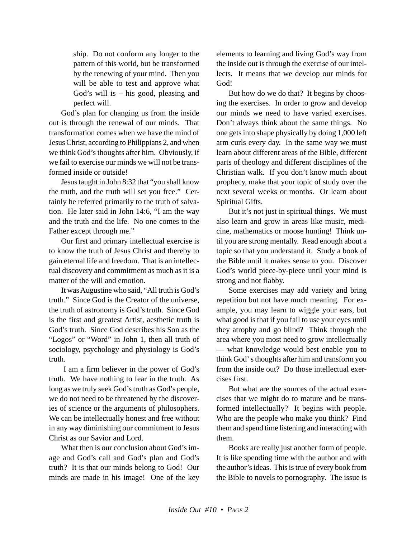ship. Do not conform any longer to the pattern of this world, but be transformed by the renewing of your mind. Then you will be able to test and approve what God's will is – his good, pleasing and perfect will.

God's plan for changing us from the inside out is through the renewal of our minds. That transformation comes when we have the mind of Jesus Christ, according to Philippians 2, and when we think God's thoughts after him. Obviously, if we fail to exercise our minds we will not be transformed inside or outside!

Jesus taught in John 8:32 that "you shall know the truth, and the truth will set you free." Certainly he referred primarily to the truth of salvation. He later said in John 14:6, "I am the way and the truth and the life. No one comes to the Father except through me."

Our first and primary intellectual exercise is to know the truth of Jesus Christ and thereby to gain eternal life and freedom. That is an intellectual discovery and commitment as much as it is a matter of the will and emotion.

It was Augustine who said, "All truth is God's truth."Since God is the Creator of the universe, the truth of astronomy is God's truth. Since God is the first and greatest Artist, aesthetic truth is God's truth. Since God describes his Son as the "Logos" or "Word" in John 1, then all truth of sociology, psychology and physiology is God's truth.

 I am a firm believer in the power of God's truth. We have nothing to fear in the truth. As long as we truly seek God's truth as God's people, we do not need to be threatened by the discoveries of science or the arguments of philosophers. We can be intellectually honest and free without in any way diminishing our commitment to Jesus Christ as our Savior and Lord.

What then is our conclusion about God's image and God's call and God's plan and God's truth? It is that our minds belong to God! Our minds are made in his image! One of the key elements to learning and living God's way from the inside out is through the exercise of our intellects. It means that we develop our minds for God!

But how do we do that? It begins by choosing the exercises. In order to grow and develop our minds we need to have varied exercises. Don't always think about the same things. No one gets into shape physically by doing 1,000 left arm curls every day. In the same way we must learn about different areas of the Bible, different parts of theology and different disciplines of the Christian walk. If you don't know much about prophecy, make that your topic of study over the next several weeks or months. Or learn about Spiritual Gifts.

But it's not just in spiritual things. We must also learn and grow in areas like music, medicine, mathematics or moose hunting! Think until you are strong mentally. Read enough about a topic so that you understand it. Study a book of the Bible until it makes sense to you. Discover God's world piece-by-piece until your mind is strong and not flabby.

Some exercises may add variety and bring repetition but not have much meaning. For example, you may learn to wiggle your ears, but what good is that if you fail to use your eyes until they atrophy and go blind? Think through the area where you most need to grow intellectually — what knowledge would best enable you to think God' s thoughts after him and transform you from the inside out? Do those intellectual exercises first.

But what are the sources of the actual exercises that we might do to mature and be transformed intellectually? It begins with people. Who are the people who make you think? Find them and spend time listening and interacting with them.

Books are really just another form of people. It is like spending time with the author and with the author's ideas. This is true of every book from the Bible to novels to pornography. The issue is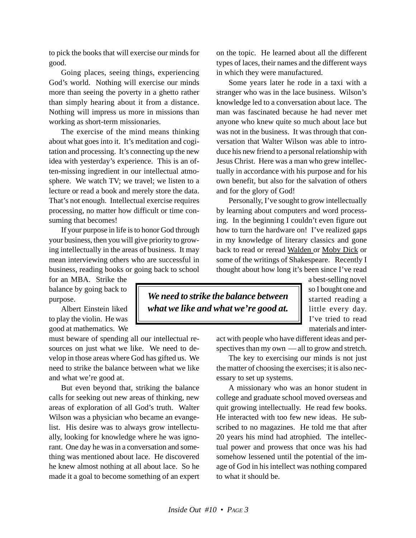to pick the books that will exercise our minds for good.

Going places, seeing things, experiencing God's world. Nothing will exercise our minds more than seeing the poverty in a ghetto rather than simply hearing about it from a distance. Nothing will impress us more in missions than working as short-term missionaries.

The exercise of the mind means thinking about what goes into it. It's meditation and cogitation and processing. It's connecting up the new idea with yesterday's experience. This is an often-missing ingredient in our intellectual atmosphere. We watch TV; we travel; we listen to a lecture or read a book and merely store the data. That's not enough. Intellectual exercise requires processing, no matter how difficult or time consuming that becomes!

If your purpose in life is to honor God through your business, then you will give priority to growing intellectually in the areas of business. It may mean interviewing others who are successful in business, reading books or going back to school

for an MBA. Strike the balance by going back to purpose.

Albert Einstein liked to play the violin. He was good at mathematics. We

must beware of spending all our intellectual resources on just what we like. We need to develop in those areas where God has gifted us. We need to strike the balance between what we like and what we're good at.

But even beyond that, striking the balance calls for seeking out new areas of thinking, new areas of exploration of all God's truth. Walter Wilson was a physician who became an evangelist. His desire was to always grow intellectually, looking for knowledge where he was ignorant. One day he was in a conversation and something was mentioned about lace. He discovered he knew almost nothing at all about lace. So he made it a goal to become something of an expert on the topic. He learned about all the different types of laces, their names and the different ways in which they were manufactured.

Some years later he rode in a taxi with a stranger who was in the lace business. Wilson's knowledge led to a conversation about lace. The man was fascinated because he had never met anyone who knew quite so much about lace but was not in the business. It was through that conversation that Walter Wilson was able to introduce his new friend to a personal relationship with Jesus Christ. Here was a man who grew intellectually in accordance with his purpose and for his own benefit, but also for the salvation of others and for the glory of God!

Personally, I've sought to grow intellectually by learning about computers and word processing. In the beginning I couldn't even figure out how to turn the hardware on! I've realized gaps in my knowledge of literary classics and gone back to read or reread Walden or Moby Dick or some of the writings of Shakespeare. Recently I thought about how long it's been since I've read

*We need to strike the balance between what we like and what we're good at.* a best-selling novel so I bought one and started reading a little every day. I've tried to read materials and inter-

act with people who have different ideas and perspectives than my own — all to grow and stretch.

The key to exercising our minds is not just the matter of choosing the exercises; it is also necessary to set up systems.

A missionary who was an honor student in college and graduate school moved overseas and quit growing intellectually. He read few books. He interacted with too few new ideas. He subscribed to no magazines. He told me that after 20 years his mind had atrophied. The intellectual power and prowess that once was his had somehow lessened until the potential of the image of God in his intellect was nothing compared to what it should be.